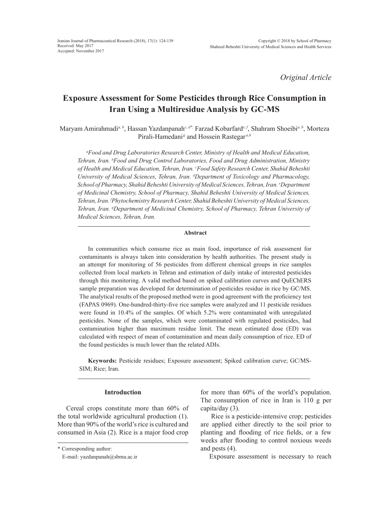*Original Article*

# **Exposure Assessment for Some Pesticides through Rice Consumption in Iran Using a Multiresidue Analysis by GC-MS**

Maryam Amirahmadi*a, b*, Hassan Yazdanpanah*c, d\*,* Farzad Kobarfard*e, f*, Shahram Shoeibi*a, b*, Morteza Pirali-Hamedani<sup>g</sup> and Hossein Rastegar<sup>*a,b*</sup>

*a Food and Drug Laboratories Research Center, Ministry of Health and Medical Education, Tehran, Iran. b Food and Drug Control Laboratories, Food and Drug Administration, Ministry of Health and Medical Education, Tehran, Iran. c Food Safety Research Center, Shahid Beheshti University of Medical Sciences, Tehran, Iran. d Department of Toxicology and Pharmacology, School of Pharmacy, Shahid Beheshti University of Medical Sciences, Tehran, Iran. e Department of Medicinal Chemistry, School of Pharmacy, Shahid Beheshti University of Medical Sciences, Tehran, Iran. f Phytochemistry Research Center, Shahid Beheshti University of Medical Sciences, Tehran, Iran. g Department of Medicinal Chemistry, School of Pharmacy, Tehran University of Medical Sciences, Tehran, Iran.*

#### **Abstract**

In communities which consume rice as main food, importance of risk assessment for contaminants is always taken into consideration by health authorities. The present study is an attempt for monitoring of 56 pesticides from different chemical groups in rice samples collected from local markets in Tehran and estimation of daily intake of interested pesticides through this monitoring. A valid method based on spiked calibration curves and QuEChERS sample preparation was developed for determination of pesticides residue in rice by GC/MS. The analytical results of the proposed method were in good agreement with the proficiency test (FAPAS 0969). One-hundred-thirty-five rice samples were analyzed and 11 pesticide residues were found in 10.4% of the samples. Of which 5.2% were contaminated with unregulated pesticides. None of the samples, which were contaminated with regulated pesticides, had contamination higher than maximum residue limit. The mean estimated dose (ED) was calculated with respect of mean of contamination and mean daily consumption of rice. ED of the found pesticides is much lower than the related ADIs.

**Keywords:** Pesticide residues; Exposure assessment; Spiked calibration curve; GC/MS-SIM; Rice; Iran.

# **Introduction**

Cereal crops constitute more than 60% of the total worldwide agricultural production (1). More than 90% of the world's rice is cultured and consumed in Asia (2). Rice is a major food crop

for more than 60% of the world's population. The consumption of rice in Iran is 110 g per capita/day (3).

 Rice is a pesticide-intensive crop; pesticides are applied either directly to the soil prior to planting and flooding of rice fields, or a few weeks after flooding to control noxious weeds and pests (4).

Exposure assessment is necessary to reach

<sup>\*</sup> Corresponding author:

E-mail: yazdanpanah@sbmu.ac.ir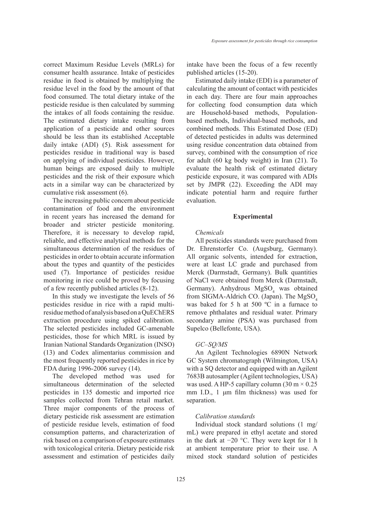correct Maximum Residue Levels (MRLs) for consumer health assurance. Intake of pesticides residue in food is obtained by multiplying the residue level in the food by the amount of that food consumed. The total dietary intake of the pesticide residue is then calculated by summing the intakes of all foods containing the residue. The estimated dietary intake resulting from application of a pesticide and other sources should be less than its established Acceptable daily intake (ADI) (5). Risk assessment for pesticides residue in traditional way is based on applying of individual pesticides. However, human beings are exposed daily to multiple pesticides and the risk of their exposure which acts in a similar way can be characterized by cumulative risk assessment (6).

The increasing public concern about pesticide contamination of food and the environment in recent years has increased the demand for broader and stricter pesticide monitoring. Therefore, it is necessary to develop rapid, reliable, and effective analytical methods for the simultaneous determination of the residues of pesticides in order to obtain accurate information about the types and quantity of the pesticides used (7). Importance of pesticides residue monitoring in rice could be proved by focusing of a few recently published articles (8-12).

In this study we investigate the levels of 56 pesticides residue in rice with a rapid multiresidue method of analysis based on a QuEChERS extraction procedure using spiked calibration. The selected pesticides included GC-amenable pesticides, those for which MRL is issued by Iranian National Standards Organization (INSO) (13) and Codex alimentarius commission and the most frequently reported pesticides in rice by FDA during 1996-2006 survey (14).

The developed method was used for simultaneous determination of the selected pesticides in 135 domestic and imported rice samples collected from Tehran retail market. Three major components of the process of dietary pesticide risk assessment are estimation of pesticide residue levels, estimation of food consumption patterns, and characterization of risk based on a comparison of exposure estimates with toxicological criteria. Dietary pesticide risk assessment and estimation of pesticides daily

intake have been the focus of a few recently published articles (15-20).

Estimated daily intake (EDI) is a parameter of calculating the amount of contact with pesticides in each day. There are four main approaches for collecting food consumption data which are Household-based methods, Populationbased methods, Individual-based methods, and combined methods. This Estimated Dose (ED) of detected pesticides in adults was determined using residue concentration data obtained from survey, combined with the consumption of rice for adult (60 kg body weight) in Iran (21). To evaluate the health risk of estimated dietary pesticide exposure, it was compared with ADIs set by JMPR (22). Exceeding the ADI may indicate potential harm and require further evaluation.

#### **Experimental**

#### *Chemicals*

All pesticides standards were purchased from Dr. Ehrenstorfer Co. (Augsburg, Germany). All organic solvents, intended for extraction, were at least LC grade and purchased from Merck (Darmstadt, Germany). Bulk quantities of NaCl were obtained from Merck (Darmstadt, Germany). Anhydrous MgSO<sub>4</sub> was obtained from SIGMA-Aldrich CO. (Japan). The  $MgSO<sub>4</sub>$ was baked for 5 h at 500 ºC in a furnace to remove phthalates and residual water. Primary secondary amine (PSA) was purchased from Supelco (Bellefonte, USA).

#### *GC–SQ/MS*

An Agilent Technologies 6890N Network GC System chromatograph (Wilmington, USA) with a SQ detector and equipped with an Agilent 7683B autosampler (Agilent technologies, USA) was used. A HP-5 capillary column  $(30 \text{ m} \times 0.25)$ mm I.D., 1 μm film thickness) was used for separation.

#### *Calibration standards*

Individual stock standard solutions (1 mg/ mL) were prepared in ethyl acetate and stored in the dark at −20 °C. They were kept for 1 h at ambient temperature prior to their use. A mixed stock standard solution of pesticides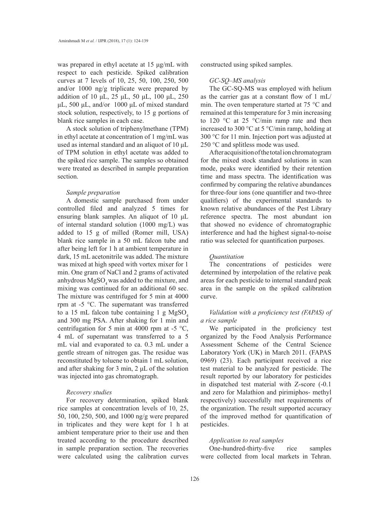was prepared in ethyl acetate at 15 μg/mL with respect to each pesticide. Spiked calibration curves at 7 levels of 10, 25, 50, 100, 250, 500 and/or 1000 ng/g triplicate were prepared by addition of 10 μL, 25 μL, 50 μL, 100 μL, 250 μL, 500 μL, and/or 1000 μL of mixed standard stock solution, respectively, to 15 g portions of blank rice samples in each case.

A stock solution of triphenylmethane (TPM) in ethyl acetate at concentration of 1 mg/mL was used as internal standard and an aliquot of 10 μL of TPM solution in ethyl acetate was added to the spiked rice sample. The samples so obtained were treated as described in sample preparation section.

#### *Sample preparation*

A domestic sample purchased from under controlled filed and analyzed 5 times for ensuring blank samples. An aliquot of 10 μL of internal standard solution (1000 mg/L) was added to 15 g of milled (Romer mill, USA) blank rice sample in a 50 mL falcon tube and after being left for 1 h at ambient temperature in dark, 15 mL acetonitrile was added. The mixture was mixed at high speed with vortex mixer for 1 min. One gram of NaCl and 2 grams of activated anhydrous  $MgSO<sub>4</sub>$  was added to the mixture, and mixing was continued for an additional 60 sec. The mixture was centrifuged for 5 min at 4000 rpm at -5 °C. The supernatant was transferred to a 15 mL falcon tube containing 1 g  $MgSO<sub>4</sub>$ and 300 mg PSA. After shaking for 1 min and centrifugation for 5 min at 4000 rpm at -5  $^{\circ}C$ , 4 mL of supernatant was transferred to a 5 mL vial and evaporated to ca. 0.3 mL under a gentle stream of nitrogen gas. The residue was reconstituted by toluene to obtain 1 mL solution, and after shaking for 3 min, 2 μL of the solution was injected into gas chromatograph.

#### *Recovery studies*

For recovery determination, spiked blank rice samples at concentration levels of 10, 25, 50, 100, 250, 500, and 1000 ng/g were prepared in triplicates and they were kept for 1 h at ambient temperature prior to their use and then treated according to the procedure described in sample preparation section. The recoveries were calculated using the calibration curves

constructed using spiked samples.

#### *GC-SQ–MS analysis*

The GC-SQ-MS was employed with helium as the carrier gas at a constant flow of 1 mL/ min. The oven temperature started at 75 °C and remained at this temperature for 3 min increasing to 120 °C at 25 °C/min ramp rate and then increased to 300  $\degree$ C at 5  $\degree$ C/min ramp, holding at 300 °C for 11 min. Injection port was adjusted at 250 °C and splitless mode was used.

After acquisition of the total ion chromatogram for the mixed stock standard solutions in scan mode, peaks were identified by their retention time and mass spectra. The identification was confirmed by comparing the relative abundances for three-four ions (one quantifier and two-three qualifiers) of the experimental standards to known relative abundances of the Pest Library reference spectra. The most abundant ion that showed no evidence of chromatographic interference and had the highest signal-to-noise ratio was selected for quantification purposes.

#### *Quantitation*

The concentrations of pesticides were determined by interpolation of the relative peak areas for each pesticide to internal standard peak area in the sample on the spiked calibration curve.

# *Validation with a proficiency test (FAPAS) of a rice sample*

We participated in the proficiency test organized by the Food Analysis Performance Assessment Scheme of the Central Science Laboratory York (UK) in March 2011. (FAPAS 0969) (23). Each participant received a rice test material to be analyzed for pesticide. The result reported by our laboratory for pesticides in dispatched test material with Z-score (-0.1 and zero for Malathion and pirimiphos- methyl respectively) successfully met requirements of the organization. The result supported accuracy of the improved method for quantification of pesticides.

#### *Application to real samples*

One-hundred-thirty-five rice samples were collected from local markets in Tehran.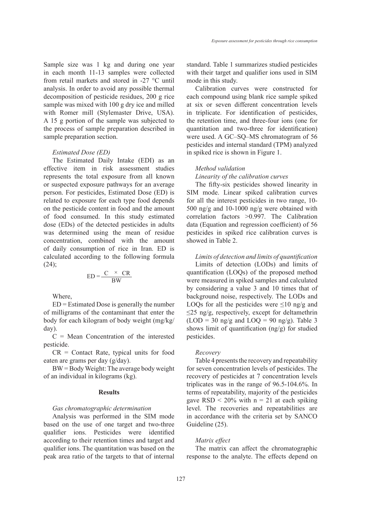Sample size was 1 kg and during one year in each month 11-13 samples were collected from retail markets and stored in -27 °C until analysis. In order to avoid any possible thermal decomposition of pesticide residues, 200 g rice sample was mixed with 100 g dry ice and milled with Romer mill (Stylemaster Drive, USA). A 15 g portion of the sample was subjected to the process of sample preparation described in sample preparation section.

#### *Estimated Dose (ED)*

The Estimated Daily Intake (EDI) as an effective item in risk assessment studies represents the total exposure from all known or suspected exposure pathways for an average person. For pesticides, Estimated Dose (ED) is related to exposure for each type food depends on the pesticide content in food and the amount of food consumed. In this study estimated dose (EDs) of the detected pesticides in adults was determined using the mean of residue concentration, combined with the amount of daily consumption of rice in Iran. ED is calculated according to the following formula  $(24);$ 

$$
ED = \frac{C \times CR}{BW}
$$

Where,

ED = Estimated Dose is generally the number of milligrams of the contaminant that enter the body for each kilogram of body weight (mg/kg/ day).

 $C = Mean$  Concentration of the interested pesticide.

CR = Contact Rate, typical units for food eaten are grams per day (g/day).

BW = Body Weight: The average body weight of an individual in kilograms (kg).

## **Results**

# *Gas chromatographic determination*

Analysis was performed in the SIM mode based on the use of one target and two-three qualifier ions. Pesticides were identified according to their retention times and target and qualifier ions. The quantitation was based on the peak area ratio of the targets to that of internal standard. Table 1 summarizes studied pesticides with their target and qualifier ions used in SIM mode in this study.

Calibration curves were constructed for each compound using blank rice sample spiked at six or seven different concentration levels in triplicate. For identification of pesticides, the retention time, and three-four ions (one for quantitation and two-three for identification) were used. A GC–SQ–MS chromatogram of 56 pesticides and internal standard (TPM) analyzed in spiked rice is shown in Figure 1.

#### *Method validation*

*Linearity of the calibration curves*

The fifty-six pesticides showed linearity in SIM mode. Linear spiked calibration curves for all the interest pesticides in two range, 10- 500 ng/g and 10-1000 ng/g were obtained with correlation factors >0.997. The Calibration data (Equation and regression coefficient) of 56 pesticides in spiked rice calibration curves is showed in Table 2.

*Limits of detection and limits of quantification*

Limits of detection (LODs) and limits of quantification (LOQs) of the proposed method were measured in spiked samples and calculated by considering a value 3 and 10 times that of background noise, respectively. The LODs and LOQs for all the pesticides were  $\leq 10$  ng/g and ≤25 ng/g, respectively, except for deltamethrin  $(LOD = 30 \text{ ng/g}$  and  $LOQ = 90 \text{ ng/g}$ ). Table 3 shows limit of quantification (ng/g) for studied pesticides.

#### *Recovery*

Table 4 presents the recovery and repeatability for seven concentration levels of pesticides. The recovery of pesticides at 7 concentration levels triplicates was in the range of 96.5-104.6%. In terms of repeatability, majority of the pesticides gave  $RSD < 20\%$  with  $n = 21$  at each spiking level. The recoveries and repeatabilities are in accordance with the criteria set by SANCO Guideline (25).

#### *Matrix effect*

The matrix can affect the chromatographic response to the analyte. The effects depend on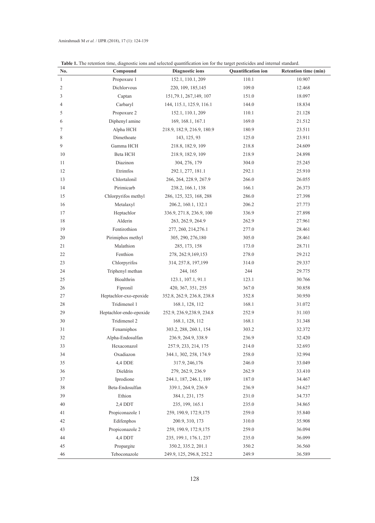| No.            | Compound                | <b>Diagnostic ions</b>     | <b>Quantification</b> ion | <b>Retention time (min)</b> |
|----------------|-------------------------|----------------------------|---------------------------|-----------------------------|
| 1              | Propoxure 1             | 152.1, 110.1, 209          | 110.1                     | 10.907                      |
| $\overline{c}$ | Dichlorvous             | 220, 109, 185, 145         | 109.0                     | 12.468                      |
| 3              | Captan                  | 151, 79.1, 267, 149, 107   | 151.0                     | 18.097                      |
| 4              | Carbaryl                | 144, 115.1, 125.9, 116.1   | 144.0                     | 18.834                      |
| 5              | Propoxure 2             | 152.1, 110.1, 209          | 110.1                     | 21.128                      |
| 6              | Diphenyl amine          | 169, 168.1, 167.1          | 169.0                     | 21.512                      |
| 7              | Alpha HCH               | 218.9, 182.9, 216.9, 180.9 | 180.9                     | 23.511                      |
| 8              | Dimethoate              | 143, 125, 93               | 125.0                     | 23.911                      |
| 9              | Gamma HCH               | 218.8, 182.9, 109          | 218.8                     | 24.609                      |
| 10             | Beta HCH                | 218.9, 182.9, 109          | 218.9                     | 24.898                      |
| 11             | Diazinon                | 304, 276, 179              | 304.0                     | 25.245                      |
| 12             | Etrimfos                | 292.1, 277, 181.1          | 292.1                     | 25.910                      |
| 13             | Chlortalonil            | 266, 264, 228.9, 267.9     | 266.0                     | 26.055                      |
| 14             | Pirimicarb              | 238.2, 166.1, 138          | 166.1                     | 26.373                      |
| 15             | Chlorpyrifos methyl     | 286, 125, 323, 168, 288    | 286.0                     | 27.398                      |
| 16             | Metalaxyl               | 206.2, 160.1, 132.1        | 206.2                     | 27.773                      |
| 17             | Heptachlor              | 336.9, 271.8, 236.9, 100   | 336.9                     | 27.898                      |
| 18             | Alderin                 | 263, 262.9, 264.9          | 262.9                     | 27.961                      |
| 19             | Fentirothion            | 277, 260, 214, 276.1       | 277.0                     | 28.461                      |
| 20             | Pirimiphos methyl       | 305, 290, 276, 180         | 305.0                     | 28.461                      |
| 21             | Malathion               | 285, 173, 158              | 173.0                     | 28.711                      |
| 22             | Fenthion                | 278, 262.9, 169, 153       | 278.0                     | 29.212                      |
| 23             | Chlorpyrifos            | 314, 257.8, 197, 199       | 314.0                     | 29.337                      |
| 24             | Triphenyl methan        | 244, 165                   | 244                       | 29.775                      |
| 25             | Bioalthrin              | 123.1, 107.1, 91.1         | 123.1                     | 30.766                      |
| 26             | Fipronil                | 420, 367, 351, 255         | 367.0                     | 30.858                      |
| 27             | Heptachlor-exo-epoxide  | 352.8, 262.9, 236.8, 238.8 | 352.8                     | 30.950                      |
| 28             | Tridimenol 1            | 168.1, 128, 112            | 168.1                     | 31.072                      |
| 29             | Heptachlor-endo-epoxide | 252.9, 236.9, 238.9, 234.8 | 252.9                     | 31.103                      |
| 30             | Tridimenol 2            | 168.1, 128, 112            | 168.1                     | 31.348                      |
| 31             | Fenamiphos              | 303.2, 288, 260.1, 154     | 303.2                     | 32.372                      |
| 32             | Alpha-Endosulfan        | 236.9, 264.9, 338.9        | 236.9                     | 32.420                      |
| 33             | Hexaconazol             | 257.9, 233, 214, 175       | 214.0                     | 32.693                      |
| 34             | Oxadiazon               | 344.1, 302, 258, 174.9     | 258.0                     | 32.994                      |
| 35             | 4,4 DDE                 | 317.9, 246, 176            | 246.0                     | 33.049                      |
| 36             | Dieldrin                | 279, 262.9, 236.9          | 262.9                     | 33.410                      |
| 37             | Iprodione               | 244.1, 187, 246.1, 189     | 187.0                     | 34.467                      |
| 38             | Beta-Endosulfan         | 339.1, 264.9, 236.9        | 236.9                     | 34.627                      |
| 39             | Ethion                  | 384.1, 231, 175            | 231.0                     | 34.737                      |
| 40             | 2,4 DDT                 | 235, 199, 165.1            | 235.0                     | 34.865                      |
| 41             | Propiconazole 1         | 259, 190.9, 172.9, 175     | 259.0                     | 35.840                      |
| 42             | Edifenphos              | 200.9, 310, 173            | 310.0                     | 35.908                      |
| 43             | Propiconazole 2         | 259, 190.9, 172.9, 175     | 259.0                     | 36.094                      |
| 44             | 4,4 DDT                 | 235, 199.1, 176.1, 237     | 235.0                     | 36.099                      |
| 45             | Propargite              | 350.2, 335.2, 201.1        | 350.2                     | 36.560                      |
| 46             | Teboconazole            | 249.9, 125, 296.8, 252.2   | 249.9                     | 36.589                      |

**Table 1.** The retention time, diagnostic ions and selected quantification ion for the target pesticides and internal standard.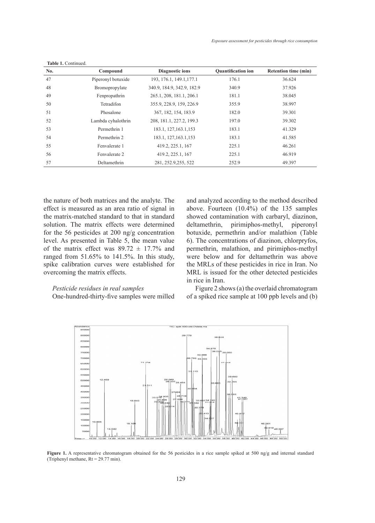| No. | Compound           | <b>Diagnostic ions</b>     | <b>Quantification ion</b> | Retention time (min) |
|-----|--------------------|----------------------------|---------------------------|----------------------|
| 47  | Piperonyl botuxide | 193, 176.1, 149.1, 177.1   | 176.1                     | 36.624               |
| 48  | Bromopropylate     | 340.9, 184.9, 342.9, 182.9 | 340.9                     | 37.926               |
| 49  | Fenpropathrin      | 265.1, 208, 181.1, 206.1   | 181.1                     | 38.045               |
| 50  | Tetradifon         | 355.9, 228.9, 159, 226.9   | 355.9                     | 38.997               |
| 51  | Phosalone          | 367, 182, 154, 183.9       | 182.0                     | 39.301               |
| 52  | Lambda cyhalothrin | 208, 181.1, 227.2, 199.3   | 197.0                     | 39.302               |
| 53  | Permethrin 1       | 183.1, 127, 163.1, 153     | 183.1                     | 41.329               |
| 54  | Permethrin 2       | 183.1, 127, 163.1, 153     | 183.1                     | 41.585               |
| 55  | Fenvalerate 1      | 419.2, 225.1, 167          | 225.1                     | 46.261               |
| 56  | Fenvalerate 2      | 419.2, 225.1, 167          | 225.1                     | 46.919               |
| 57  | Deltamethrin       | 281, 252.9, 255, 522       | 252.9                     | 49.397               |

the nature of both matrices and the analyte. The effect is measured as an area ratio of signal in the matrix-matched standard to that in standard solution. The matrix effects were determined for the 56 pesticides at 200 ng/g concentration level. As presented in Table 5, the mean value of the matrix effect was  $89.72 \pm 17.7\%$  and ranged from 51.65% to 141.5%. In this study, spike calibration curves were established for overcoming the matrix effects.

**Table 1.** Continued.

## *Pesticide residues in real samples*

One-hundred-thirty-five samples were milled

and analyzed according to the method described above. Fourteen (10.4%) of the 135 samples showed contamination with carbaryl, diazinon, deltamethrin, pirimiphos-methyl, piperonyl botuxide, permethrin and/or malathion (Table 6). The concentrations of diazinon, chlorpryfos, permethrin, malathion, and pirimiphos-methyl were below and for deltamethrin was above the MRLs of these pesticides in rice in Iran. No MRL is issued for the other detected pesticides in rice in Iran.

Figure 2 shows (a) the overlaid chromatogram of a spiked rice sample at 100 ppb levels and (b)



Figure 1. A representative chromatogram obtained for the 56 pesticides in a rice sample spiked at 500 ng/g and internal standard  $(Triphenyl methane, Rt = 29.77 min).$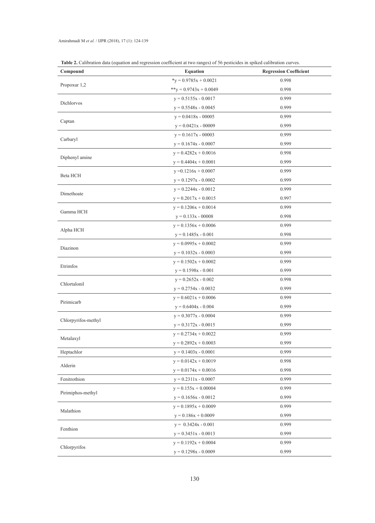| Table 2. Calibration data (equation and regression coefficient at two ranges) of 56 pesticides in spiked calibration curves. |  |  |  |
|------------------------------------------------------------------------------------------------------------------------------|--|--|--|
|------------------------------------------------------------------------------------------------------------------------------|--|--|--|

| Compound            | <b>Equation</b>           | <b>Regression Coefficient</b> |
|---------------------|---------------------------|-------------------------------|
|                     | $*_y$ = 0.9785x + 0.0021  | 0.998                         |
| Propoxur 1,2        | ** $y = 0.9743x + 0.0049$ | 0.998                         |
| Dichlorvos          | $y = 0.5155x - 0.0017$    | 0.999                         |
|                     | $y = 0.5548x - 0.0045$    | 0.999                         |
|                     | $y = 0.0418x - 00005$     | 0.999                         |
| Captan              | $y = 0.0421x - 00009$     | 0.999                         |
|                     | $y = 0.1617x - 00003$     | 0.999                         |
| Carbaryl            | $y = 0.1674x - 0.0007$    | 0.999                         |
|                     | $y = 0.4282x + 0.0016$    | 0.998                         |
| Diphenyl amine      | $y = 0.4404x + 0.0001$    | 0.999                         |
|                     | $y = 0.1216x + 0.0007$    | 0.999                         |
| Beta HCH            | $y = 0.1297x - 0.0002$    | 0.999                         |
|                     | $y = 0.2244x - 0.0012$    | 0.999                         |
| Dimethoate          | $y = 0.2017x + 0.0015$    | 0.997                         |
| Gamma HCH           | $y = 0.1206x + 0.0014$    | 0.999                         |
|                     | $y = 0.133x - 00008$      | 0.998                         |
| Alpha HCH           | $y = 0.1356x + 0.0006$    | 0.999                         |
|                     | $y = 0.1485x - 0.001$     | 0.998                         |
|                     | $y = 0.0995x + 0.0002$    | 0.999                         |
| Diazinon            | $y = 0.1032x - 0.0003$    | 0.999                         |
| Etrimfos            | $y = 0.1502x + 0.0002$    | 0.999                         |
|                     | $y = 0.1598x - 0.001$     | 0.999                         |
| Chlortalonil        | $y = 0.2652x - 0.002$     | 0.998                         |
|                     | $y = 0.2754x - 0.0032$    | 0.999                         |
| Pirimicarb          | $y = 0.6021x + 0.0006$    | 0.999                         |
|                     | $y = 0.6404x - 0.004$     | 0.999                         |
| Chlorpyrifos-methyl | $y = 0.3077x - 0.0004$    | 0.999                         |
|                     | $y = 0.3172x - 0.0015$    | 0.999                         |
| Metalaxyl           | $y = 0.2734x + 0.0022$    | 0.999                         |
|                     | $y = 0.2892x + 0.0003$    | 0.999                         |
| Heptachlor          | $y = 0.1403x - 0.0001$    | 0.999                         |
| Alderin             | $y = 0.0142x + 0.0019$    | 0.998                         |
|                     | $y = 0.0174x + 0.0016$    | 0.998                         |
| Fenitrothion        | $y = 0.2311x - 0.0007$    | 0.999                         |
| Pirimiphos-methyl   | $y = 0.155x + 0.00004$    | 0.999                         |
|                     | $y = 0.1656x - 0.0012$    | 0.999                         |
| Malathion           | $y = 0.1895x + 0.0009$    | 0.999                         |
|                     | $y = 0.186x + 0.0009$     | 0.999                         |
| Fenthion            | $y = 0.3424x - 0.001$     | 0.999                         |
|                     | $y = 0.3451x - 0.0013$    | 0.999                         |
| Chlorpyrifos        | $y = 0.1192x + 0.0004$    | 0.999                         |
|                     | $y = 0.1298x - 0.0009$    | 0.999                         |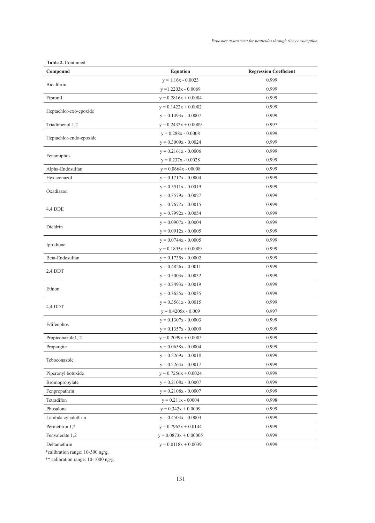| Compound                | <b>Equation</b>         | <b>Regression Coefficient</b> |
|-------------------------|-------------------------|-------------------------------|
|                         | $y = 1.16x - 0.0023$    | 0.999                         |
| Bioalthrin              | $y = 1.2203x - 0.0069$  | 0.999                         |
| Fipronil                | $y = 0.2816x + 0.0004$  | 0.999                         |
|                         | $y = 0.1422x + 0.0002$  | 0.999                         |
| Heptachlor-exo-epoxide  | $y = 0.1493x - 0.0007$  | 0.999                         |
| Triadimenol 1,2         | $y = 0.2432x + 0.0009$  | 0.997                         |
|                         | $y = 0.288x - 0.0008$   | 0.999                         |
| Heptachlor-endo-epoxide | $y = 0.3009x - 0.0024$  | 0.999                         |
|                         | $y = 0.2161x - 0.0006$  | 0.999                         |
| Fenamiphos              | $y = 0.237x - 0.0028$   | 0.999                         |
| Alpha-Endosulfan        | $y = 0.0664x - 00008$   | 0.999                         |
| Hexaconazol             | $y = 0.1717x - 0.0004$  | 0.999                         |
|                         | $y = 0.3511x - 0.0019$  | 0.999                         |
| Oxadiazon               | $y = 0.3579x - 0.0027$  | 0.999                         |
|                         | $y = 0.7672x - 0.0015$  | 0.999                         |
| 4,4 DDE                 | $y = 0.7992x - 0.0054$  | 0.999                         |
|                         | $y = 0.0907x - 0.0004$  | 0.999                         |
| Dieldrin                | $y = 0.0912x - 0.0005$  | 0.999                         |
|                         | $y = 0.0744x - 0.0005$  | 0.999                         |
| Iprodione               | $y = 0.1895x + 0.0009$  | 0.999                         |
| Beta-Endosulfan         | $y = 0.1735x - 0.0002$  | 0.999                         |
|                         | $y = 0.4826x - 0.0011$  | 0.999                         |
| 2,4 DDT                 | $y = 0.5003x - 0.0032$  | 0.999                         |
|                         | $y = 0.3493x - 0.0019$  | 0.999                         |
| Ethion                  | $y = 0.3625x - 0.0035$  | 0.999                         |
|                         | $y = 0.3561x - 0.0015$  | 0.999                         |
| 4,4 DDT                 |                         |                               |
|                         | $y = 0.4205x - 0.009$   | 0.997                         |
| Edifenphos              | $y = 0.1307x - 0.0003$  | 0.999                         |
|                         | $y = 0.1357x - 0.0009$  | 0.999                         |
| Propiconazole1, 2       | $y = 0.2099x + 0.0003$  | 0.999                         |
| Propargite              | $y = 0.0658x - 0.0004$  | 0.999                         |
| Teboconazole            | $y = 0.2269x - 0.0018$  | 0.999                         |
|                         | $y = 0.2264x - 0.0017$  | 0.999                         |
| Piperonyl botuxide      | $y = 0.7256x + 0.0024$  | 0.999                         |
| Bromopropylate          | $y = 0.2108x - 0.0007$  | 0.999                         |
| Fenpropathrin           | $y = 0.2108x - 0.0007$  | 0.999                         |
| Tetradifon              | $y = 0.211x - 00004$    | 0.998                         |
| Phosalone               | $y = 0.342x + 0.0009$   | 0.999                         |
| Lambda cyhalothrin      | $y = 0.4504x - 0.0003$  | 0.999                         |
| Permethrin 1,2          | $y = 0.7962x + 0.0144$  | 0.999                         |
| Fenvalerate 1,2         | $y = 0.0873x + 0.00005$ | 0.999                         |
| Deltamethrin            | $y = 0.0118x + 0.0039$  | 0.999                         |

**Table 2.** Continued.

\*calibration range: 10-500 ng/g.

\*\* calibration range: 10-1000 ng/g.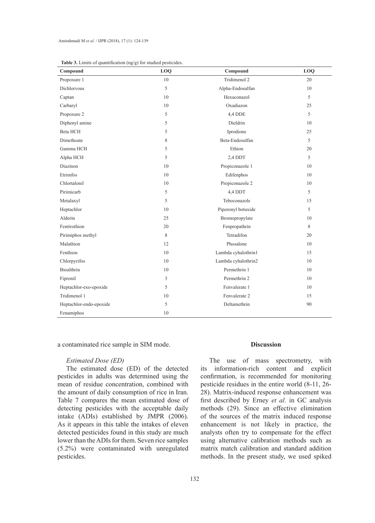| Compound                | LOQ | Compound            | LOQ |
|-------------------------|-----|---------------------|-----|
| Propoxure 1             | 10  | Tridimenol 2        | 20  |
| <b>Dichlorvous</b>      | 5   | Alpha-Endosulfan    | 10  |
| Captan                  | 10  | Hexaconazol         | 5   |
| Carbaryl                | 10  | Oxadiazon           | 25  |
| Propoxure 2             | 5   | 4,4 DDE             | 5   |
| Diphenyl amine          | 5   | Dieldrin            | 10  |
| Beta HCH                | 5   | Iprodione           | 25  |
| Dimethoate              | 8   | Beta-Endosulfan     | 5   |
| Gamma HCH               | 5   | Ethion              | 20  |
| Alpha HCH               | 5   | 2,4 DDT             | 5   |
| Diazinon                | 10  | Propiconazole 1     | 10  |
| Etrimfos                | 10  | Edifenphos          | 10  |
| Chlortalonil            | 10  | Propiconazole 2     | 10  |
| Pirimicarb              | 5   | 4,4 DDT             | 5   |
| Metalaxyl               | 5   | Teboconazole        | 15  |
| Heptachlor              | 10  | Piperonyl botuxide  | 5   |
| Alderin                 | 25  | Bromopropylate      | 10  |
| Fentirothion            | 20  | Fenpropathrin       | 8   |
| Pirimiphos methyl       | 8   | Tetradifon          | 20  |
| Malathion               | 12  | Phosalone           | 10  |
| Fenthion                | 10  | Lambda cyhalothrin1 | 15  |
| Chlorpyrifos            | 10  | Lambda cyhalothrin2 | 10  |
| Bioalthrin              | 10  | Permethrin 1        | 10  |
| Fipronil                | 3   | Permethrin 2        | 10  |
| Heptachlor-exo-epoxide  | 5   | Fenvalerate 1       | 10  |
| Tridimenol 1            | 10  | Fenvalerate 2       | 15  |
| Heptachlor-endo-epoxide | 5   | Deltamethrin        | 90  |
| Fenamiphos              | 10  |                     |     |

| <b>Table 3.</b> Limits of quantification $(ng/g)$ for studied pesticides. |  |
|---------------------------------------------------------------------------|--|
|---------------------------------------------------------------------------|--|

a contaminated rice sample in SIM mode.

#### *Estimated Dose (ED)*

The estimated dose (ED) of the detected pesticides in adults was determined using the mean of residue concentration, combined with the amount of daily consumption of rice in Iran. Table 7 compares the mean estimated dose of detecting pesticides with the acceptable daily intake (ADIs) established by JMPR (2006). As it appears in this table the intakes of eleven detected pesticides found in this study are much lower than the ADIs for them. Seven rice samples (5.2%) were contaminated with unregulated pesticides.

#### **Discussion**

The use of mass spectrometry, with its information-rich content and explicit confirmation, is recommended for monitoring pesticide residues in the entire world (8-11, 26- 28). Matrix-induced response enhancement was first described by Erney *et al.* in GC analysis methods (29). Since an effective elimination of the sources of the matrix induced response enhancement is not likely in practice, the analysts often try to compensate for the effect using alternative calibration methods such as matrix match calibration and standard addition methods. In the present study, we used spiked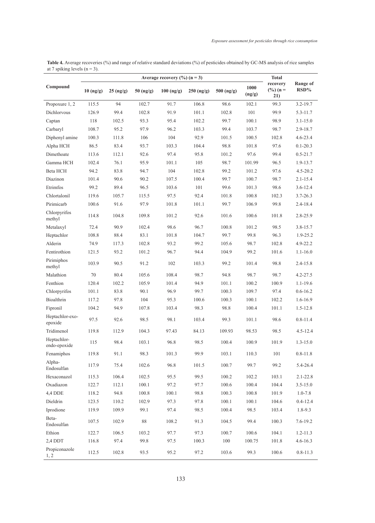| <b>Table 4.</b> Average recoveries (%) and range of relative standard deviations (%) of pesticides obtained by GC-MS analysis of rice samples |  |
|-----------------------------------------------------------------------------------------------------------------------------------------------|--|
| at 7 spiking levels $(n = 3)$ .                                                                                                               |  |

| Average recovery $(\%)(n = 3)$ |             |                                                |             |              |              | <b>Total</b> |                |                                         |                            |
|--------------------------------|-------------|------------------------------------------------|-------------|--------------|--------------|--------------|----------------|-----------------------------------------|----------------------------|
| Compound                       | $10$ (ng/g) | $25 \left( \frac{\text{ng}}{\text{g}} \right)$ | $50$ (ng/g) | $100$ (ng/g) | $250$ (ng/g) | 500 (ng/g)   | 1000<br>(ng/g) | recovery<br>$(\frac{0}{0}) (n =$<br>21) | Range of<br>$\text{RSD}\%$ |
| Propoxure 1, 2                 | 115.5       | 94                                             | 102.7       | 91.7         | 106.8        | 98.6         | 102.1          | 99.3                                    | 3.2-19.7                   |
| Dichlorvous                    | 126.9       | 99.4                                           | 102.8       | 91.9         | 101.1        | 102.8        | 101            | 99.9                                    | $5.3 - 11.7$               |
| Captan                         | 118         | 102.5                                          | 93.3        | 95.4         | 102.2        | 99.7         | 100.1          | 98.9                                    | $3.1 - 15.0$               |
| Carbaryl                       | 108.7       | 95.2                                           | 97.9        | 96.2         | 103.3        | 99.4         | 103.7          | 98.7                                    | $2.9 - 18.7$               |
| Diphenyl amine                 | 100.3       | 111.8                                          | 106         | 104          | 92.9         | 101.5        | 100.5          | 102.8                                   | $4.6 - 23.4$               |
| Alpha HCH                      | 86.5        | 83.4                                           | 93.7        | 103.3        | 104.4        | 98.8         | 101.8          | 97.6                                    | $0.1 - 20.3$               |
| Dimethoate                     | 113.6       | 112.1                                          | 92.6        | 97.4         | 95.8         | 101.2        | 97.6           | 99.4                                    | $0.5 - 21.7$               |
| Gamma HCH                      | 102.4       | 76.1                                           | 95.9        | 101.1        | 105          | 98.7         | 101.99         | 96.5                                    | 1.9-13.7                   |
| Beta HCH                       | 94.2        | 83.8                                           | 94.7        | 104          | 102.8        | 99.2         | 101.2          | 97.6                                    | $4.5 - 20.2$               |
| Diazinon                       | 101.4       | 90.6                                           | 90.2        | 107.5        | 100.4        | 99.7         | 100.7          | 98.7                                    | $2.1 - 15.4$               |
| Etrimfos                       | 99.2        | 89.4                                           | 96.5        | 103.6        | 101          | 99.6         | 101.3          | 98.6                                    | $3.6 - 12.4$               |
| Chlortalonil                   | 119.6       | 105.7                                          | 115.5       | 97.5         | 92.4         | 101.8        | 100.8          | 102.3                                   | $3.7 - 26.3$               |
| Pirimicarb                     | 100.6       | 91.6                                           | 97.9        | 101.8        | 101.1        | 99.7         | 106.9          | 99.8                                    | $2.4 - 18.4$               |
| Chlorpyrifos<br>methyl         | 114.8       | 104.8                                          | 109.8       | 101.2        | 92.6         | 101.6        | 100.6          | 101.8                                   | 2.8-25.9                   |
| Metalaxyl                      | 72.4        | 90.9                                           | 102.4       | 98.6         | 96.7         | 100.8        | 101.2          | 98.5                                    | $3.8 - 15.7$               |
| Heptachlor                     | 108.8       | 88.4                                           | 83.1        | 101.8        | 104.7        | 99.7         | 99.8           | 96.3                                    | $1.9 - 25.2$               |
| Alderin                        | 74.9        | 117.3                                          | 102.8       | 93.2         | 99.2         | 105.6        | 98.7           | 102.8                                   | $4.9 - 22.2$               |
| Fentirothion                   | 121.5       | 93.2                                           | 101.2       | 96.7         | 94.4         | 104.9        | 99.2           | 101.6                                   | $1.1 - 16.0$               |
| Pirimiphos<br>methyl           | 103.9       | 90.5                                           | 91.2        | 102          | 103.3        | 99.2         | 101.4          | 98.8                                    | $2.4 - 15.8$               |
| Malathion                      | 70          | 80.4                                           | 105.6       | 108.4        | 98.7         | 94.8         | 98.7           | 98.7                                    | $4.2 - 27.5$               |
| Fenthion                       | 120.4       | 102.2                                          | 105.9       | 101.4        | 94.9         | 101.1        | 100.2          | 100.9                                   | $1.1 - 19.6$               |
| Chlorpyrifos                   | 101.1       | 83.8                                           | 90.1        | 96.9         | 99.7         | 100.3        | 109.7          | 97.4                                    | $0.6 - 16.2$               |
| Bioalthrin                     | 117.2       | 97.8                                           | 104         | 95.3         | 100.6        | 100.3        | 100.1          | 102.2                                   | $1.6 - 16.9$               |
| Fipronil                       | 104.2       | 94.9                                           | 107.8       | 103.4        | 98.3         | 98.8         | 100.4          | 101.1                                   | $1.5 - 12.8$               |
| Heptachlor-exo-<br>epoxide     | 97.5        | 92.6                                           | 98.5        | 98.1         | 103.4        | 99.3         | 101.1          | 98.6                                    | $0.8 - 11.4$               |
| Tridimenol                     | 119.8       | 112.9                                          | 104.3       | 97.43        | 84.13        | 109.93       | 98.53          | 98.5                                    | $4.5 - 12.4$               |
| Heptachlor-<br>endo-epoxide    | 115         | 98.4                                           | 103.1       | 96.8         | 98.5         | 100.4        | 100.9          | 101.9                                   | $1.3 - 15.0$               |
| Fenamiphos                     | 119.8       | 91.1                                           | 98.3        | 101.3        | 99.9         | 103.1        | 110.3          | $101\,$                                 | $0.8 - 11.8$               |
| Alpha-<br>Endosulfan           | 117.9       | 75.4                                           | 102.6       | 96.8         | 101.5        | 100.7        | 99.7           | 99.2                                    | 5.4-26.4                   |
| Hexaconazol                    | 115.3       | 106.4                                          | 102.5       | 95.5         | 99.5         | 100.2        | 102.2          | 103.1                                   | $2.1 - 22.8$               |
| Oxadiazon                      | 122.7       | 112.1                                          | 100.1       | 97.2         | 97.7         | 100.6        | 100.4          | 104.4                                   | $3.5 - 15.0$               |
| 4,4 DDE                        | 118.2       | 94.8                                           | 100.8       | 100.1        | 98.8         | 100.3        | 100.8          | 101.9                                   | $1.0 - 7.8$                |
| Dieldrin                       | 123.5       | 110.2                                          | 102.9       | 97.3         | 97.8         | 100.1        | 100.1          | 104.6                                   | $0.4 - 12.4$               |
| Iprodione                      | 119.9       | 109.9                                          | 99.1        | 97.4         | 98.5         | 100.4        | 98.5           | 103.4                                   | $1.8 - 9.3$                |
| Beta-<br>Endosulfan            | 107.5       | 102.9                                          | $88\,$      | 108.2        | 91.3         | 104.5        | 99.4           | 100.3                                   | $7.6 - 19.2$               |
| Ethion                         | 122.7       | 106.5                                          | 103.2       | 97.7         | 97.3         | 100.7        | 100.6          | 104.1                                   | $1.2 - 11.3$               |
| 2,4 DDT                        | 116.8       | 97.4                                           | 99.8        | 97.5         | 100.3        | 100          | 100.75         | 101.8                                   | $4.6 - 16.3$               |
| Propiconazole<br>1, 2          | 112.5       | 102.8                                          | 93.5        | 95.2         | 97.2         | 103.6        | 99.3           | 100.6                                   | $0.8 - 11.3$               |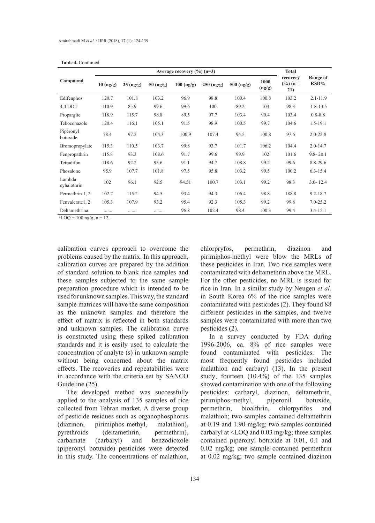| Average recovery $(\%)(n=3)$ |                       |                       |                       |              |                 | <b>Total</b> |                |                                         |                     |
|------------------------------|-----------------------|-----------------------|-----------------------|--------------|-----------------|--------------|----------------|-----------------------------------------|---------------------|
| Compound                     | $10 \, \text{(ng/g)}$ | $25 \, \text{(ng/g)}$ | $50 \, \text{(ng/g)}$ | $100$ (ng/g) | $250 \, (ng/g)$ | 500 (ng/g)   | 1000<br>(ng/g) | recovery<br>$(\frac{9}{6})$ (n =<br>21) | Range of<br>$RSD\%$ |
| Edifenphos                   | 120.7                 | 101.8                 | 103.2                 | 96.9         | 98.8            | 100.4        | 100.8          | 103.2                                   | $2.1 - 11.9$        |
| 4,4 DDT                      | 110.9                 | 85.9                  | 99.6                  | 99.6         | 100             | 89.2         | 103            | 98.3                                    | $1.8 - 13.5$        |
| Propargite                   | 118.9                 | 115.7                 | 98.8                  | 89.5         | 97.7            | 103.4        | 99.4           | 103.4                                   | $0.8 - 8.8$         |
| Teboconazole                 | 120.4                 | 116.1                 | 105.1                 | 91.5         | 98.9            | 100.5        | 99.7           | 104.6                                   | $1.5 - 19.1$        |
| Piperonyl<br>botuxide        | 78.4                  | 97.2                  | 104.3                 | 100.9        | 107.4           | 94.5         | 100.8          | 97.6                                    | $2.0 - 22.8$        |
| Bromopropylate               | 115.3                 | 110.5                 | 103.7                 | 99.8         | 93.7            | 101.7        | 106.2          | 104.4                                   | $2.0 - 14.7$        |
| Fenpropathrin                | 115.8                 | 93.3                  | 108.6                 | 91.7         | 99.6            | 99.9         | 102            | 101.6                                   | $9.8 - 20.1$        |
| Tetradifon                   | 118.6                 | 92.2                  | 93.6                  | 91.1         | 94.7            | 108.8        | 99.2           | 99.6                                    | 8.8-29.6            |
| Phosalone                    | 95.9                  | 107.7                 | 101.8                 | 97.5         | 95.8            | 103.2        | 99.5           | 100.2                                   | $6.3 - 15.4$        |
| Lambda<br>cyhalothrin        | 102                   | 96.1                  | 92.5                  | 94.51        | 100.7           | 103.1        | 99.2           | 98.3                                    | $3.0 - 12.4$        |
| Permethrin 1, 2              | 102.7                 | 115.2                 | 94.5                  | 93.4         | 94.3            | 106.4        | 98.8           | 188.8                                   | $9.2 - 18.7$        |
| Fenvalerate1, 2              | 105.3                 | 107.9                 | 93.2                  | 95.4         | 92.3            | 105.3        | 99.2           | 99.8                                    | $7.0 - 25.2$        |
| Deltamethrina                | .                     | .                     | .                     | 96.8         | 102.4           | 98.4         | 100.3          | 99.4                                    | $3.4 - 15.1$        |

**Table 4.** Continued.

 $n = 100$  ng/g, n = 12.

calibration curves approach to overcome the problems caused by the matrix. In this approach, calibration curves are prepared by the addition of standard solution to blank rice samples and these samples subjected to the same sample preparation procedure which is intended to be used for unknown samples. This way, the standard sample matrices will have the same composition as the unknown samples and therefore the effect of matrix is reflected in both standards and unknown samples. The calibration curve is constructed using these spiked calibration standards and it is easily used to calculate the concentration of analyte (s) in unknown sample without being concerned about the matrix effects. The recoveries and repeatabilities were in accordance with the criteria set by SANCO Guideline (25).

The developed method was successfully applied to the analysis of 135 samples of rice collected from Tehran market. A diverse group of pesticide residues such as organophosphorus (diazinon, pirimiphos-methyl, malathion), pyrethroids (deltamethrin, permethrin), carbamate (carbaryl) and benzodioxole (piperonyl botuxide) pesticides were detected in this study. The concentrations of malathion, chlorpryfos, permethrin, diazinon and pirimiphos-methyl were blow the MRLs of these pesticides in Iran. Two rice samples were contaminated with deltamethrin above the MRL. For the other pesticides, no MRL is issued for rice in Iran. In a similar study by Neugen *et al.* in South Korea 6% of the rice samples were contaminated with pesticides (2). They found 88 different pesticides in the samples, and twelve samples were contaminated with more than two pesticides (2).

In a survey conducted by FDA during 1996-2006, ca. 8% of rice samples were found contaminated with pesticides. The most frequently found pesticides included malathion and carbaryl (13). In the present study, fourteen (10.4%) of the 135 samples showed contamination with one of the following pesticides: carbaryl, diazinon, deltamethrin, pirimiphos-methyl, piperonil botuxide, permethrin, bioalthrin, chlorpyrifos and malathion; two samples contained deltamethrin at 0.19 and 1.90 mg/kg; two samples contained carbaryl at <LOQ and 0.03 mg/kg; three samples contained piperonyl botuxide at 0.01, 0.1 and 0.02 mg/kg; one sample contained permethrin at 0.02 mg/kg; two sample contained diazinon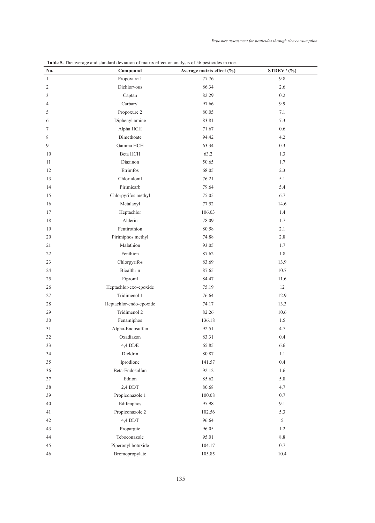| No.            | Compound                | Average matrix effect (%) | STDEV <sup>a</sup> (%) |
|----------------|-------------------------|---------------------------|------------------------|
| $\mathbf{1}$   | Propoxure 1             | 77.76                     | 9.8                    |
| $\overline{c}$ | Dichlorvous             | 86.34                     | 2.6                    |
| 3              | Captan                  | 82.29                     | 0.2                    |
| 4              | Carbaryl                | 97.66                     | 9.9                    |
| 5              | Propoxure 2             | 80.05                     | 7.1                    |
| 6              | Diphenyl amine          | 83.81                     | 7.3                    |
| $\tau$         | Alpha HCH               | 71.67                     | 0.6                    |
| 8              | Dimethoate              | 94.42                     | 4.2                    |
| 9              | Gamma HCH               | 63.34                     | 0.3                    |
| 10             | Beta HCH                | 63.2                      | 1.3                    |
| 11             | Diazinon                | 50.65                     | 1.7                    |
| 12             | Etrimfos                | 68.05                     | 2.3                    |
| 13             | Chlortalonil            | 76.21                     | 5.1                    |
| 14             | Pirimicarb              | 79.64                     | 5.4                    |
| 15             | Chlorpyrifos methyl     | 75.05                     | 6.7                    |
| 16             | Metalaxyl               | 77.52                     | 14.6                   |
| 17             | Heptachlor              | 106.03                    | 1.4                    |
| 18             | Alderin                 | 78.09                     | 1.7                    |
| 19             | Fentirothion            | 80.58                     | 2.1                    |
| 20             | Pirimiphos methyl       | 74.88                     | 2.8                    |
| 21             | Malathion               | 93.05                     | 1.7                    |
| 22             | Fenthion                | 87.62                     | 1.8                    |
| 23             | Chlorpyrifos            | 83.69                     | 13.9                   |
| 24             | Bioalthrin              | 87.65                     | 10.7                   |
| 25             | Fipronil                | 84.47                     | 11.6                   |
| 26             | Heptachlor-exo-epoxide  | 75.19                     | 12                     |
| 27             | Tridimenol 1            | 76.64                     | 12.9                   |
| 28             | Heptachlor-endo-epoxide | 74.17                     | 13.3                   |
| 29             | Tridimenol 2            | 82.26                     | 10.6                   |
| 30             | Fenamiphos              | 136.18                    | 1.5                    |
| 31             | Alpha-Endosulfan        | 92.51                     | 4.7                    |
| 32             | Oxadiazon               | 83.31                     | 0.4                    |
| 33             | 4,4 DDE                 | 65.85                     | 6.6                    |
| 34             | Dieldrin                | 80.87                     | 1.1                    |
| 35             | Iprodione               | 141.57                    | 0.4                    |
| 36             | Beta-Endosulfan         | 92.12                     | 1.6                    |
| 37             | Ethion                  | 85.62                     | 5.8                    |
| 38             | 2,4 DDT                 | 80.68                     | 4.7                    |
| 39             | Propiconazole 1         | 100.08                    | $0.7\,$                |
| 40             | Edifenphos              | 95.98                     | 9.1                    |
| 41             | Propiconazole 2         | 102.56                    | 5.3                    |
| 42             | 4,4 DDT                 | 96.64                     | 5                      |
| 43             | Propargite              | 96.05                     | 1.2                    |
| 44             | Teboconazole            | 95.01                     | $8.8\,$                |
| 45             | Piperonyl botuxide      | 104.17                    | $0.7\,$                |
| 46             | Bromopropylate          | 105.85                    | 10.4                   |

**Table 5.** The average and standard deviation of matrix effect on analysis of 56 pesticides in rice.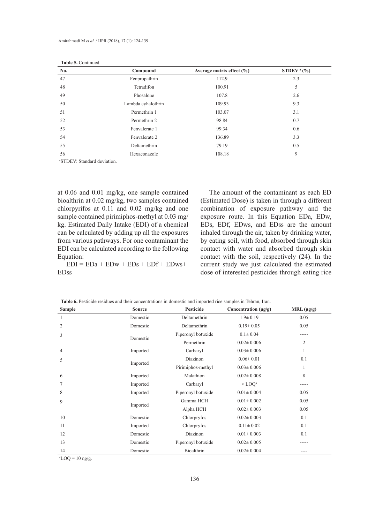| No. | Compound           | Average matrix effect $(\% )$ | STDEV <sup>a</sup> $(\% )$ |
|-----|--------------------|-------------------------------|----------------------------|
| 47  | Fenpropathrin      | 112.9                         | 2.3                        |
| 48  | Tetradifon         | 100.91                        | 5                          |
| 49  | Phosalone          | 107.8                         | 2.6                        |
| 50  | Lambda cyhalothrin | 109.93                        | 9.3                        |
| 51  | Permethrin 1       | 103.07                        | 3.1                        |
| 52  | Permethrin 2       | 98.84                         | 0.7                        |
| 53  | Fenvalerate 1      | 99.34                         | 0.6                        |
| 54  | Fenvalerate 2      | 136.89                        | 3.3                        |
| 55  | Deltamethrin       | 79.19                         | 0.5                        |
| 56  | Hexaconazole       | 108.18                        | 9                          |

| Table 5. Continued. |  |
|---------------------|--|
|---------------------|--|

a STDEV: Standard deviation.

at 0.06 and 0.01 mg/kg, one sample contained bioalthrin at 0.02 mg/kg, two samples contained chlorpyrifos at 0.11 and 0.02 mg/kg and one sample contained pirimiphos-methyl at 0.03 mg/ kg. Estimated Daily Intake (EDI) of a chemical can be calculated by adding up all the exposures from various pathways. For one contaminant the EDI can be calculated according to the following Equation:

 $EDI = EDa + EDw + EDs + EDf + EDws +$ EDss

The amount of the contaminant as each ED (Estimated Dose) is taken in through a different combination of exposure pathway and the exposure route. In this Equation EDa, EDw, EDs, EDf, EDws, and EDss are the amount inhaled through the air, taken by drinking water, by eating soil, with food, absorbed through skin contact with water and absorbed through skin contact with the soil, respectively (24). In the current study we just calculated the estimated dose of interested pesticides through eating rice

**Table 6.** Pesticide residues and their concentrations in domestic and imported rice samples in Tehran, Iran.

| <b>Sample</b>  | <b>Source</b> | Pesticide          | Concentration $(\mu g/g)$ | MRL $(\mu g/g)$ |
|----------------|---------------|--------------------|---------------------------|-----------------|
| 1              | Domestic      | Deltamethrin       | $1.9 \pm 0.19$            | 0.05            |
| $\overline{2}$ | Domestic      | Deltamethrin       | $0.19 \pm 0.05$           | 0.05            |
| 3              | Domestic      | Piperonyl botuxide | $0.1 \pm 0.04$            |                 |
|                |               | Permethrin         | $0.02 \pm 0.006$          | $\overline{2}$  |
| $\overline{4}$ | Imported      | Carbaryl           | $0.03 \pm 0.006$          |                 |
| 5              |               | Diazinon           | $0.06 \pm 0.01$           | 0.1             |
|                | Imported      | Pirimiphos-methyl  | $0.03 \pm 0.006$          |                 |
| 6              | Imported      | Malathion          | $0.02 \pm 0.008$          | 8               |
| $\overline{7}$ | Imported      | Carbaryl           | $<$ LOO <sup>a</sup>      |                 |
| 8              | Imported      | Piperonyl botuxide | $0.01 \pm 0.004$          | 0.05            |
| 9              |               | Gamma HCH          | $0.01 \pm 0.002$          | 0.05            |
|                | Imported      | Alpha HCH          | $0.02 \pm 0.003$          | 0.05            |
| 10             | Domestic      | Chlorpryfos        | $0.02 \pm 0.003$          | 0.1             |
| 11             | Imported      | Chlorpryfos        | $0.11 \pm 0.02$           | 0.1             |
| 12             | Domestic      | Diazinon           | $0.01 \pm 0.003$          | 0.1             |
| 13             | Domestic      | Piperonyl botuxide | $0.02 \pm 0.005$          |                 |
| 14             | Domestic      | Bioalthrin         | $0.02 \pm 0.004$          | ----            |

 $\mathrm{^{a}LOQ}$  = 10 ng/g.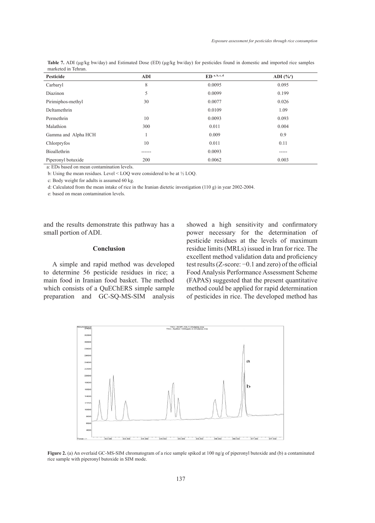| Pesticide           | <b>ADI</b> | $ED$ <sup>a, b, c, d</sup> | ADI $(\%^{\circ})$ |
|---------------------|------------|----------------------------|--------------------|
| Carbaryl            | 8          | 0.0095                     | 0.095              |
| Diazinon            | 5          | 0.0099                     | 0.199              |
| Pirimiphos-methyl   | 30         | 0.0077                     | 0.026              |
| Deltamethrin        |            | 0.0109                     | 1.09               |
| Permethrin          | 10         | 0.0093                     | 0.093              |
| Malathion           | 300        | 0.011                      | 0.004              |
| Gamma and Alpha HCH |            | 0.009                      | 0.9                |
| Chlorpryfos         | 10         | 0.011                      | 0.11               |
| Bioallethrin        |            | 0.0093                     | -----              |
| Piperonyl botuxide  | 200        | 0.0062                     | 0.003              |

**Table 7.** ADI (μg/kg bw/day) and Estimated Dose (ED) (μg/kg bw/day) for pesticides found in domestic and imported rice samples marketed in Tehran.

a: EDs based on mean contamination levels.

b: Using the mean residues. Level < LOQ were considered to be at ½ LOQ.

c: Body weight for adults is assumed 60 kg.

d: Calculated from the mean intake of rice in the Iranian dietetic investigation (110 g) in year 2002-2004.

e: based on mean contamination levels.

and the results demonstrate this pathway has a small portion of ADI.

## **Conclusion**

A simple and rapid method was developed to determine 56 pesticide residues in rice; a main food in Iranian food basket. The method which consists of a QuEChERS simple sample preparation and GC-SQ-MS-SIM analysis showed a high sensitivity and confirmatory power necessary for the determination of pesticide residues at the levels of maximum residue limits (MRLs) issued in Iran for rice. The excellent method validation data and proficiency test results (Z-score: −0.1 and zero) of the official Food Analysis Performance Assessment Scheme (FAPAS) suggested that the present quantitative method could be applied for rapid determination of pesticides in rice. The developed method has



**Figure 2.** (a) An overlaid GC-MS-SIM chromatogram of a rice sample spiked at 100 ng/g of piperonyl butoxide and (b) a contaminated rice sample with piperonyl butoxide in SIM mode.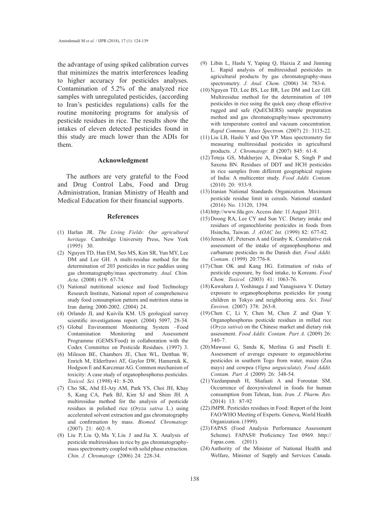the advantage of using spiked calibration curves that minimizes the matrix interferences leading to higher accuracy for pesticides analyses. Contamination of 5.2% of the analyzed rice samples with unregulated pesticides, (according to Iran's pesticides regulations) calls for the routine monitoring programs for analysis of pesticide residues in rice. The results show the intakes of eleven detected pesticides found in this study are much lower than the ADIs for them.

#### **Acknowledgment**

The authors are very grateful to the Food and Drug Control Labs, Food and Drug Administration, Iranian Ministry of Health and Medical Education for their financial supports.

#### **References**

- Harlan JR. *The Living Fields: Our agricultural*  (1) *heritage.* Cambridge University Press, New York (1995) 30.
- (2) Nguyen TD, Han EM, Seo MS, Kim SR, Yun MY, Lee DM and Lee GH. A multi-residue method for the determination of 203 pesticides in rice paddies using gas chromatography/mass spectrometry. *Anal. Chim. Acta.* (2008) 619: 67-74.
- (3) National nutritional science and food Technology Research Institute, National report of comprehensive study food consumption pattern and nutrition status in Iran during 2000-2002. (2004) 24.
- (4) Orlando JL and Kuivila KM. US geological survey scientific investigations report. (2004) 5097, 28-34.
- Global Environment Monitoring System –Food (5) Contamination Monitoring and Assessment Programme (GEMS/Food) in collaboration with the Codex Committee on Pesticide Residues. (1997) 3.
- (6) Mileson BE, Chambers JE, Chen WL, Dettban W, Enrich M, Elderfrawi AT, Gaylor DW, Hamernik K, Hodgson E and Karczmar AG. Common mechanism of toxicity: A case study of organophosphorus pesticides. *Toxicol. Sci.* (1998) 41: 8-20.
- (7) Cho SK, Abd El-Aty AM, Park YS, Choi JH, Khay S, Kang CA, Park BJ, Kim SJ and Shim JH. A multiresidue method for the analysis of pesticide residues in polished rice (*Oryza sativa* L.) using accelerated solvent extraction and gas chromatography and confirmation by mass. *Biomed. Chromatogr.* (2007) 21: 602–9.
- Liu P, Liu Q, Ma Y, Liu J and Jia X. Analysis of (8) pesticide multiresidues in rice by gas chromatographymass spectrometry coupled with solid phase extraction. *Chin. J. Chromatogr.* (2006) 24: 228-34.
- Libin L, Hashi Y, Yaping Q, Haixia Z and Jinming (9) L. Rapid analysis of multiresidual pesticides in agricultural products by gas chromatography-mass spectrometry. *J. Anal. Chem.* (2006) 34: 783-6.
- $(10)$  Nguyen TD, Lee BS, Lee BR, Lee DM and Lee GH. Multiresidue method for the determination of 109 pesticides in rice using the quick easy cheap effective rugged and safe (QuEChERS) sample preparation method and gas chromatography/mass spectrometry with temperature control and vacuum concentration. *Rapid Commun. Mass Spectrom.* (2007) 21: 3115-22.
- $(11)$  Liu LB, Hashi Y and Qin YP. Mass spectrometry for measuring multiresidual pesticides in agricultural products. *J. Chromatogr. B* (2007) 845: 61-8.
- (12) Toteja GS, Mukherjee A, Diwakar S, Singh P and Saxena BN. Residues of DDT and HCH pesticides in rice samples from different geographical regions of India: A multicenter study. *Food Addit. Contam.*  (2010) 20: 933-9.
- (13) Iranian National Standards Organization. Maximum pesticide residue limit in cereals. National standard (2016) No. 13120, 1394.
- http://www.fda.gov. Access date: 11 August 2011. (14)
- (15) Doong RA, Lee CY and Sun YC. Dietary intake and residues of organochlorine pesticides in foods from Hsinchu, Taiwan. *J. AOAC Int.* (1999) 82: 677-82.
- $(16)$  Jensen AF, Petersen A and Granby K. Cumulative risk assessment of the intake of organophosphorus and carbamate pesticides in the Danish diet. *Food Addit. Contam.* (1999) 20:776-8.
- $(17)$  Chun OK and Kang HG. Estimation of risks of pesticide exposure, by food intake, to Koreans. *Food Chem. Toxicol.* (2003) 41: 1063-76.
- (18) Kawahara J, Yoshinaga J and Yanagisawa Y. Dietary exposure to organophosphorus pesticides for young children in Tokyo and neighboring area. *Sci. Total Environ.* (2007) 378: 263-8.
- $(19)$  Chen C, Li Y, Chen M, Chen Z and Qian Y. Organophosphorus pesticide residues in milled rice (*Oryza sativa*) on the Chinese market and dietary risk assessment. *Food Addit. Contam. Part A.* (2009) 26: 340-7.
- $(20)$  Mawussi G, Sanda K, Merlina G and Pinelli E. Assessment of average exposure to organochlorine pesticides in southern Togo from water, maize (Zea mays) and cowpea (*Vigna unguiculata*). *Food Addit. Contam. Part A* (2009) 26: 348-54.
- Yazdanpanah H, Shafaati A and Foroutan SM. (21) Occurrence of deoxynivalenol in foods for human consumption from Tehran, Iran. *Iran. J. Pharm. Res.* (2014) 13: 87-92
- (22) JMPR. Pesticides residues in Food: Report of the Joint FAO/WHO Meeting of Experts. Geneva, World Health Organization. (1999).
- FAPAS (Food Analysis Performance Assessment (23) Scheme). FAPAS® Proficiency Test 0969. http:// Fapas.com. (2011).
- $(24)$  Authority of the Minister of National Health and Welfare, Minister of Supply and Services Canada.